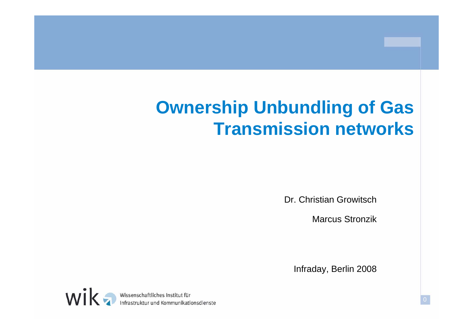# **Ownership Unbundling of Gas Transmission networks**

Dr. Christian Growitsch

Marcus Stronzik

Infraday, Berlin 2008

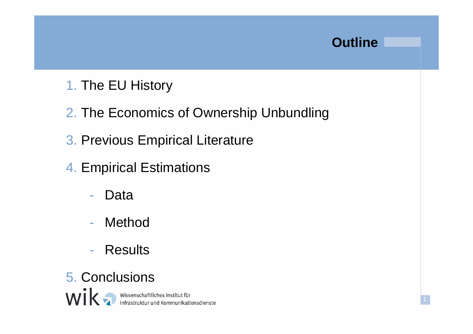### **Outline**

- 1. The EU History
- 2. The Economics of Ownership Unbundling
- 3. Previous Empirical Literature
- 4. Empirical Estimations
	- -Data
	- -Method
	- -Results
- 5. Conclusions

Wissenschaftliches Institut für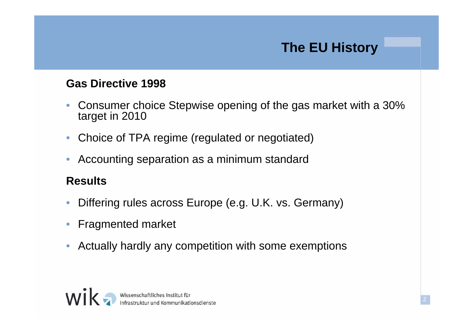# **The EU History**

#### **Gas Directive 1998**

- $\bullet$  Consumer choice Stepwise opening of the gas market with a 30% target in 2010
- $\bullet$ Choice of TPA regime (regulated or negotiated)
- $\bullet$ Accounting separation as a minimum standard

#### **Results**

- $\bullet$ Differing rules across Europe (e.g. U.K. vs. Germany)
- $\bullet$ Fragmented market
- $\bullet$ Actually hardly any competition with some exemptions

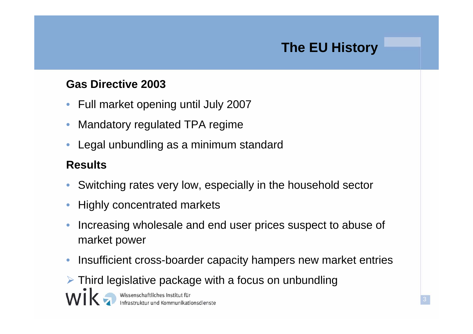# **The EU History**

#### **Gas Directive 2003**

- $\bullet$ Full market opening until July 2007
- •Mandatory regulated TPA regime
- •Legal unbundling as a minimum standard

#### **Results**

- $\bullet$ Switching rates very low, especially in the household sector
- •Highly concentrated markets
- $\bullet$  Increasing wholesale and end user prices suspect to abuse of market power
- $\bullet$ Insufficient cross-boarder capacity hampers new market entries

 $\triangleright$  Third legislative package with a focus on unbundling

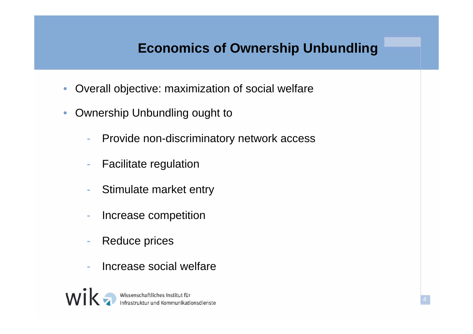# **Economics of Ownership Unbundling**

- •Overall objective: maximization of social welfare
- $\bullet$  Ownership Unbundling ought to
	- -Provide non-discriminatory network access
	- -Facilitate regulation
	- Stimulate market entry
	- Increase competition
	- -Reduce prices
	- Increase social welfare

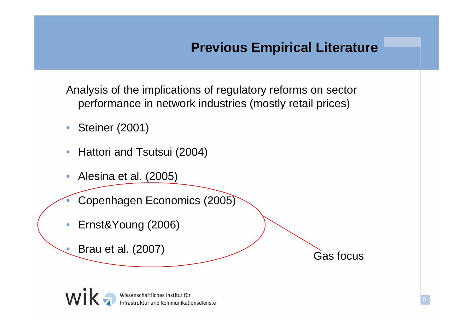### **Previous Empirical Literature**

Analysis of the implications of regulatory reforms on sector performance in network industries (mostly retail prices)

- $\bullet$ Steiner (2001)
- $\bullet$ Hattori and Tsutsui (2004)
- $\bullet$  Alesina et al. (2005)
	- Copenhagen Economics (2005)
- •Ernst&Young (2006)
- $\bullet$ Brau et al. (2007) Gas focus



•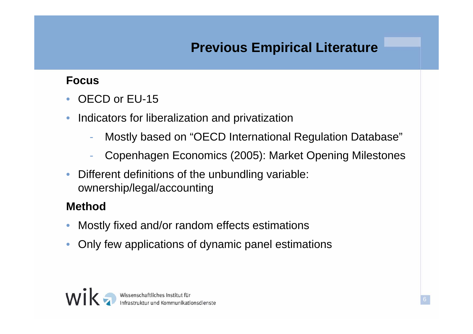# **Previous Empirical Literature**

#### **Focus**

- •OECD or EU-15
- $\bullet$  Indicators for liberalization and privatization
	- -Mostly based on "OECD International Regulation Database"
	- -Copenhagen Economics (2005): Market Opening Milestones
- $\bullet$  Different definitions of the unbundling variable: ownership/legal/accounting

#### **Method**

- •Mostly fixed and/or random effects estimations
- $\bullet$ Only few applications of dynamic panel estimations

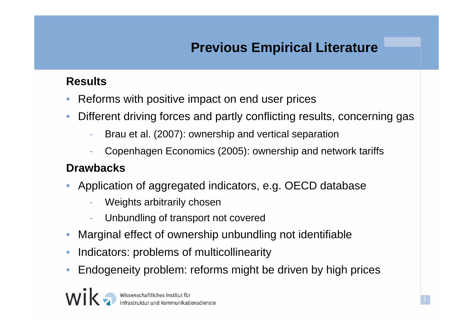# **Previous Empirical Literature**

#### **Results**

- •Reforms with positive impact on end user prices
- • Different driving forces and partly conflicting results, concerning gas
	- -Brau et al. (2007): ownership and vertical separation
	- -Copenhagen Economics (2005): ownership and network tariffs

#### **Drawbacks**

- • Application of aggregated indicators, e.g. OECD database
	- Weights arbitrarily chosen
	- -Unbundling of transport not covered
- •Marginal effect of ownership unbundling not identifiable
- •Indicators: problems of multicollinearity
- •Endogeneity problem: reforms might be driven by high prices

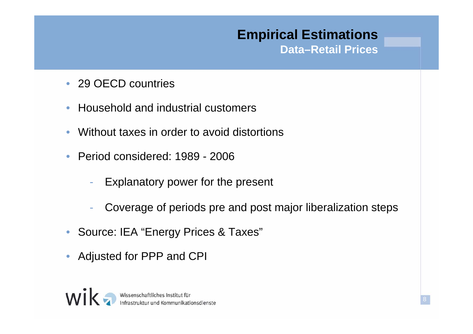### **Empirical Estimations Data–Retail Prices**

- 29 OECD countries
- $\bullet$ Household and industrial customers
- $\bullet$ Without taxes in order to avoid distortions
- $\bullet$  Period considered: 1989 - 2006
	- -Explanatory power for the present
	- -Coverage of periods pre and post major liberalization steps
- •Source: IEA "Energy Prices & Taxes"
- $\bullet$ Adjusted for PPP and CPI

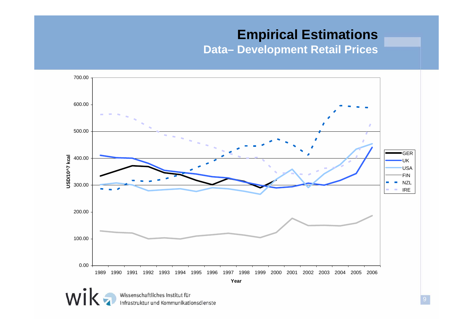### **Empirical Estimations**

**Data– Development Retail Prices**

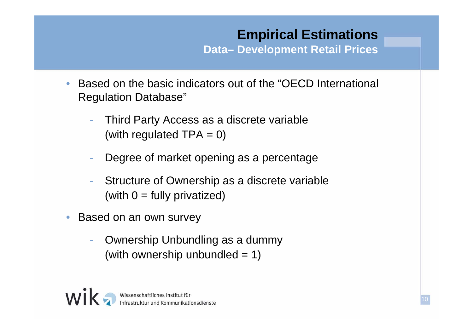# **Empirical Estimations**

**Data– Development Retail Prices**

- • Based on the basic indicators out of the "OECD International Regulation Database"
	- - Third Party Access as a discrete variable (with regulated  $TPA = 0$ )
	- -Degree of market opening as a percentage
	- - Structure of Ownership as a discrete variable (with  $0 =$  fully privatized)
- $\bullet$  Based on an own survey
	- - Ownership Unbundling as a dummy (with ownership unbundled  $= 1$ )



10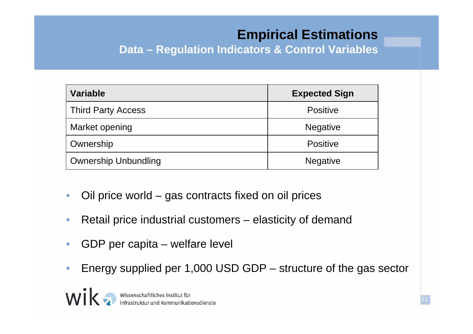# **Empirical Estimations**

11

**Data – Regulation Indicators & Control Variables**

| <b>Variable</b>             | <b>Expected Sign</b> |
|-----------------------------|----------------------|
| <b>Third Party Access</b>   | <b>Positive</b>      |
| Market opening              | <b>Negative</b>      |
| Ownership                   | <b>Positive</b>      |
| <b>Ownership Unbundling</b> | <b>Negative</b>      |

- $\bullet$ Oil price world – gas contracts fixed on oil prices
- •Retail price industrial customers – elasticity of demand
- $\bullet$ GDP per capita – welfare level
- $\bullet$ Energy supplied per 1,000 USD GDP – structure of the gas sector

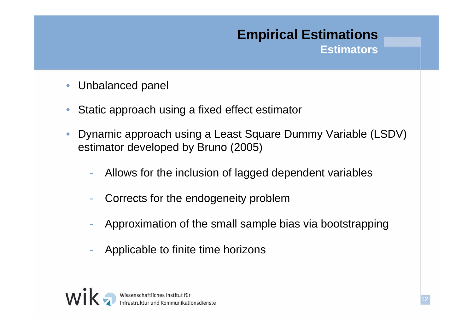### **Empirical Estimations Estimators**

- $\bullet$ Unbalanced panel
- $\bullet$ Static approach using a fixed effect estimator
- $\bullet$  Dynamic approach using a Least Square Dummy Variable (LSDV) estimator developed by Bruno (2005)
	- -Allows for the inclusion of lagged dependent variables
	- -Corrects for the endogeneity problem
	- Approximation of the small sample bias via bootstrapping
	- Applicable to finite time horizons

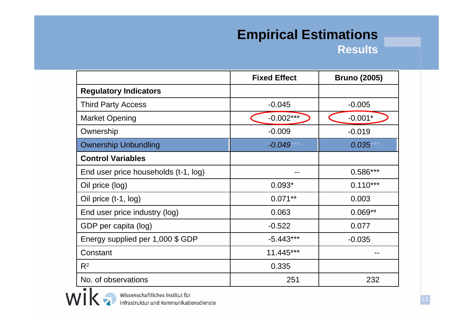#### **Empirical Estimations Results**

|                                      | <b>Fixed Effect</b> | <b>Bruno (2005)</b> |
|--------------------------------------|---------------------|---------------------|
| <b>Regulatory Indicators</b>         |                     |                     |
| <b>Third Party Access</b>            | $-0.045$            | $-0.005$            |
| <b>Market Opening</b>                | $-0.002***$         | $-0.001*$           |
| Ownership                            | $-0.009$            | $-0.019$            |
| <b>Ownership Unbundling</b>          | $-0.049$            | $0.035***$          |
| <b>Control Variables</b>             |                     |                     |
| End user price households (t-1, log) |                     | $0.586***$          |
| Oil price (log)                      | $0.093*$            | $0.110***$          |
| Oil price (t-1, log)                 | $0.071**$           | 0.003               |
| End user price industry (log)        | 0.063               | $0.069**$           |
| GDP per capita (log)                 | $-0.522$            | 0.077               |
| Energy supplied per 1,000 \$ GDP     | $-5.443***$         | $-0.035$            |
| Constant                             | 11.445***           |                     |
| $R^2$                                | 0.335               |                     |
| No. of observations                  | 251                 | 232                 |

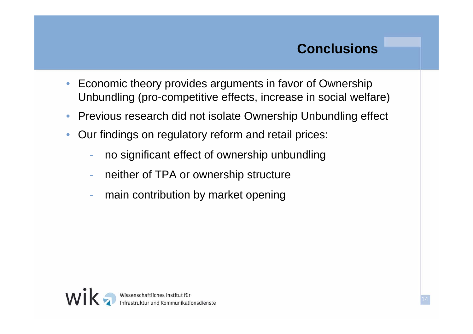# **Conclusions**

- $\bullet$  Economic theory provides arguments in favor of Ownership Unbundling (pro-competitive effects, increase in social welfare)
- •Previous research did not isolate Ownership Unbundling effect
- $\bullet$  Our findings on regulatory reform and retail prices:
	- no significant effect of ownership unbundling
	- neither of TPA or ownership structure
	- main contribution by market opening